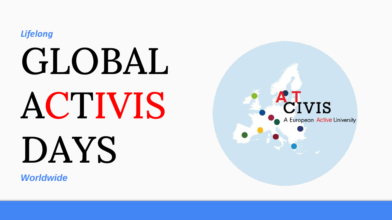*Lifelong*

## GLOBAL ACTIVIS DAYS

*Worldwide*

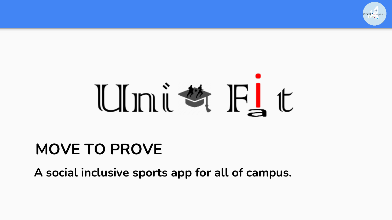

# Universit

### **MOVE TO PROVE**

**A social inclusive sports app for all of campus.**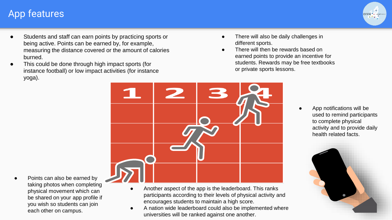#### App features



- Students and staff can earn points by practicing sports or being active. Points can be earned by, for example, measuring the distance covered or the amount of calories burned.
- This could be done through high impact sports (for instance football) or low impact activities (for instance yoga).
- There will also be daily challenges in different sports.
- There will then be rewards based on earned points to provide an incentive for students. Rewards may be free textbooks or private sports lessons.



Points can also be earned by taking photos when completing physical movement which can be shared on your app profile if you wish so students can join each other on campus.

- Another aspect of the app is the leaderboard. This ranks participants according to their levels of physical activity and encourages students to maintain a high score.
- A nation wide leaderboard could also be implemented where universities will be ranked against one another.

App notifications will be used to remind participants to complete physical activity and to provide daily health related facts.

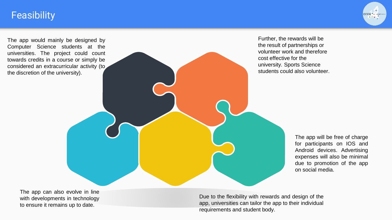#### **Feasibility**

The app would mainly be designed by Computer Science students at the universities. The project could count towards credits in a course or simply be considered an extracurricular activity (to the discretion of the university).

Further, the rewards will be the result of partnerships or volunteer work and therefore cost effective for the university. Sports Science students could also volunteer.

> The app will be free of charge for participants on IOS and Android devices. Advertising expenses will also be minimal due to promotion of the app on social media.

The app can also evolve in line with developments in technology to ensure it remains up to date.

Due to the flexibility with rewards and design of the app, universities can tailor the app to their individual requirements and student body.